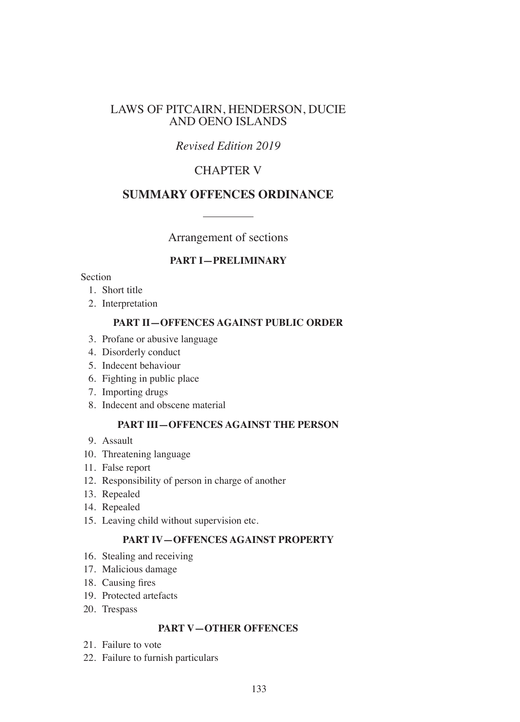## LAWS OF PITCAIRN, HENDERSON, DUCIE AND OENO ISLANDS

# *Revised Edition 2019*

# CHAPTER V

## **SUMMARY OFFENCES ORDINANCE**

Arrangement of sections

## **PART I—PRELIMINARY**

### Section

- 1. Short title
- 2. Interpretation

## **PART II—OFFENCES AGAINST PUBLIC ORDER**

- 3. Profane or abusive language
- 4. Disorderly conduct
- 5. Indecent behaviour
- 6. Fighting in public place
- 7. Importing drugs
- 8. Indecent and obscene material

## **PART III—OFFENCES AGAINST THE PERSON**

- 9. Assault
- 10. Threatening language
- 11. False report
- 12. Responsibility of person in charge of another
- 13. Repealed
- 14. Repealed
- 15. Leaving child without supervision etc.

## **PART IV—OFFENCES AGAINST PROPERTY**

- 16. Stealing and receiving
- 17. Malicious damage
- 18. Causing fres
- 19. Protected artefacts
- 20. Trespass

#### **PART V—OTHER OFFENCES**

- 21. Failure to vote
- 22. Failure to furnish particulars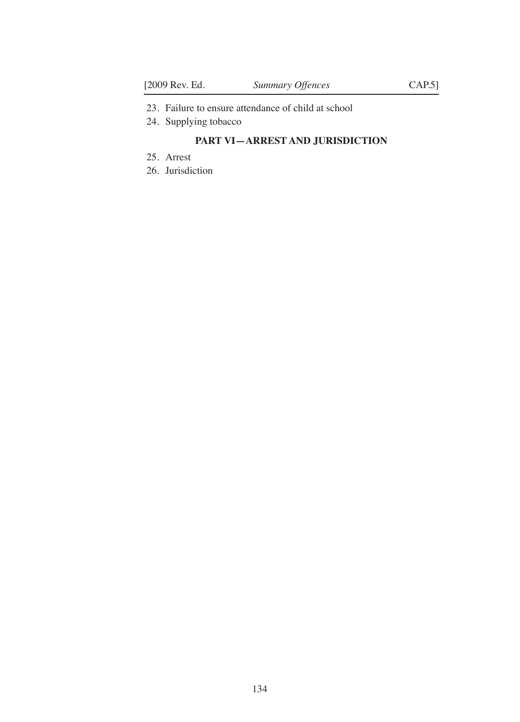- 23. Failure to ensure attendance of child at school
- 24. Supplying tobacco

## **PART VI—ARREST AND JURISDICTION**

- 25. Arrest
- 26. Jurisdiction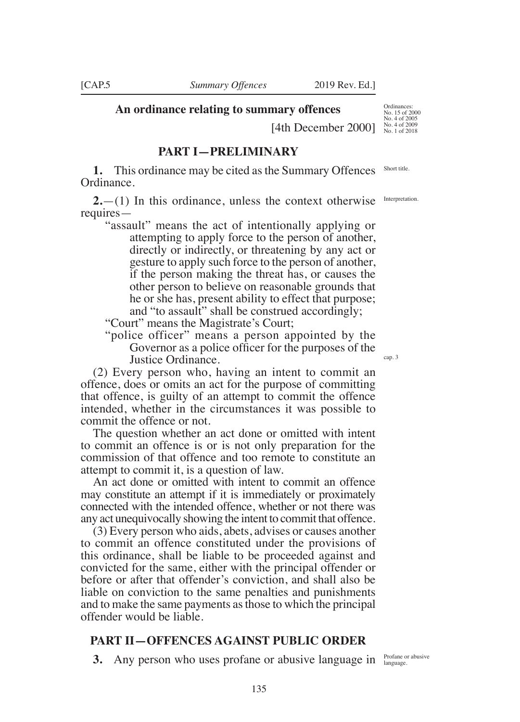**An ordinance relating to summary offences**

[4th December 2000]

## **PART I—PRELIMINARY**

**1.** This ordinance may be cited as the Summary Offences Ordinance.

**2.**—(1) In this ordinance, unless the context otherwise requires—

"assault" means the act of intentionally applying or attempting to apply force to the person of another, directly or indirectly, or threatening by any act or gesture to apply such force to the person of another, if the person making the threat has, or causes the other person to believe on reasonable grounds that he or she has, present ability to effect that purpose; and "to assault" shall be construed accordingly;

"Court" means the Magistrate's Court;

"police officer" means a person appointed by the Governor as a police officer for the purposes of the Justice Ordinance.

(2) Every person who, having an intent to commit an offence, does or omits an act for the purpose of committing that offence, is guilty of an attempt to commit the offence intended, whether in the circumstances it was possible to commit the offence or not.

The question whether an act done or omitted with intent to commit an offence is or is not only preparation for the commission of that offence and too remote to constitute an attempt to commit it, is a question of law.

An act done or omitted with intent to commit an offence may constitute an attempt if it is immediately or proximately connected with the intended offence, whether or not there was any act unequivocally showing the intent to commit that offence.

(3) Every person who aids, abets, advises or causes another to commit an offence constituted under the provisions of this ordinance, shall be liable to be proceeded against and convicted for the same, either with the principal offender or before or after that offender's conviction, and shall also be liable on conviction to the same penalties and punishments and to make the same payments as those to which the principal offender would be liable.

#### **PART II—OFFENCES AGAINST PUBLIC ORDER**

**3.** Any person who uses profane or abusive language in Profane or abusive

Ordinances: No. 15 of 2000 No. 4 of 2005 No. 4 of 2009 No. 1 of 2018

Short title.

Interpretation.

cap. 3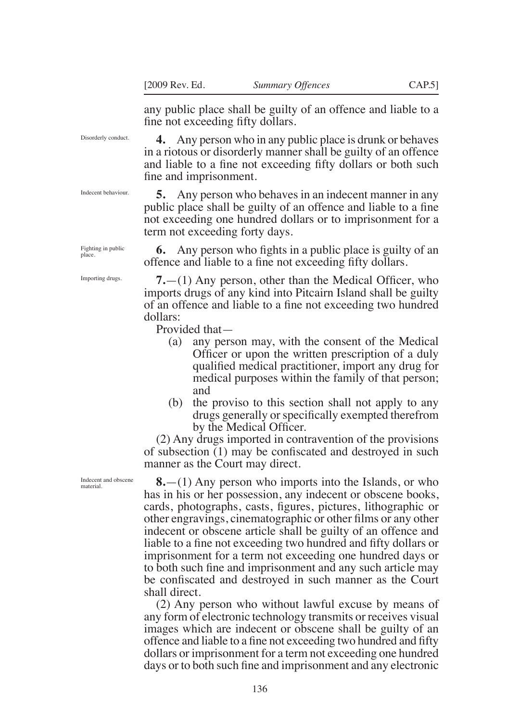any public place shall be guilty of an offence and liable to a fne not exceeding ffty dollars.

**4.** Any person who in any public place is drunk or behaves in a riotous or disorderly manner shall be guilty of an offence and liable to a fne not exceeding ffty dollars or both such fne and imprisonment.

**5.** Any person who behaves in an indecent manner in any public place shall be guilty of an offence and liable to a fne not exceeding one hundred dollars or to imprisonment for a term not exceeding forty days.

**6.** Any person who fghts in a public place is guilty of an offence and liable to a fne not exceeding ffty dollars.

**7.**—(1) Any person, other than the Medical Officer, who imports drugs of any kind into Pitcairn Island shall be guilty of an offence and liable to a fne not exceeding two hundred dollars:

Provided that—

- (a) any person may, with the consent of the Medical Officer or upon the written prescription of a duly qualifed medical practitioner, import any drug for medical purposes within the family of that person; and
- (b) the proviso to this section shall not apply to any drugs generally orspecifcally exempted therefrom by the Medical Officer.

(2) Any drugs imported in contravention of the provisions of subsection (1) may be confscated and destroyed in such manner as the Court may direct.

**8.**—(1) Any person who imports into the Islands, or who has in his or her possession, any indecent or obscene books, cards, photographs, casts, fgures, pictures, lithographic or other engravings, cinematographic or other flms or any other indecent or obscene article shall be guilty of an offence and liable to a fne not exceeding two hundred and ffty dollars or imprisonment for a term not exceeding one hundred days or to both such fne and imprisonment and any such article may be confscated and destroyed in such manner as the Court shall direct.

(2) Any person who without lawful excuse by means of any form of electronic technology transmits or receives visual images which are indecent or obscene shall be guilty of an offence and liable to a fne not exceeding two hundred and ffty dollars or imprisonment for a term not exceeding one hundred days or to both such fne and imprisonment and any electronic

Indecent behaviour.

Disorderly conduct.

Fighting in public place.

Importing drugs.

Indecent and obscene material.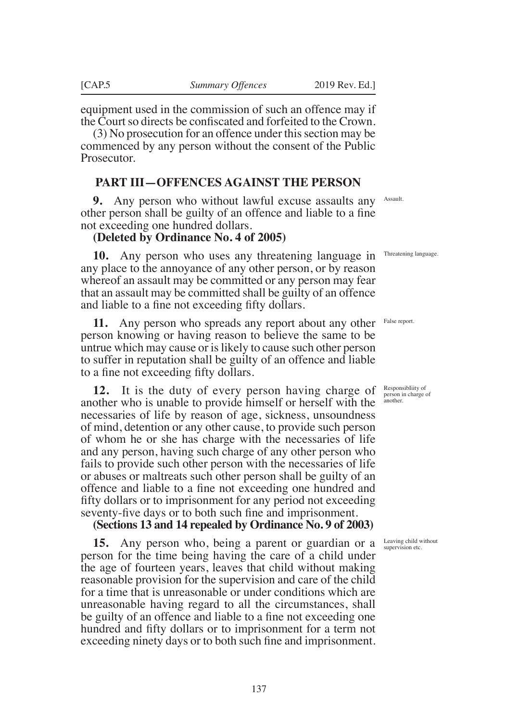equipment used in the commission of such an offence may if the Court so directs be confiscated and forfeited to the Crown.

(3) No prosecution for an offence under this section may be commenced by any person without the consent of the Public Prosecutor.

## **PART III—OFFENCES AGAINST THE PERSON**

**9.** Any person who without lawful excuse assaults any other person shall be guilty of an offence and liable to a fne not exceeding one hundred dollars.

#### **(Deleted by Ordinance No. 4 of 2005)**

10. Any person who uses any threatening language in Threatening language any place to the annoyance of any other person, or by reason whereof an assault may be committed or any person may fear that an assault may be committed shall be guilty of an offence and liable to a fne not exceeding ffty dollars.

**11.** Any person who spreads any report about any other person knowing or having reason to believe the same to be untrue which may cause or is likely to cause such other person to suffer in reputation shall be guilty of an offence and liable to a fne not exceeding ffty dollars.

**12.** It is the duty of every person having charge of another who is unable to provide himself or herself with the necessaries of life by reason of age, sickness, unsoundness of mind, detention or any other cause, to provide such person of whom he or she has charge with the necessaries of life and any person, having such charge of any other person who fails to provide such other person with the necessaries of life or abuses or maltreats such other person shall be guilty of an offence and liable to a fne not exceeding one hundred and ffty dollars or to imprisonment for any period not exceeding seventy-fve days or to both such fne and imprisonment.

#### **(Sections 13 and 14 repealed by Ordinance No. 9 of 2003)**

**15.** Any person who, being a parent or guardian or a person for the time being having the care of a child under the age of fourteen years, leaves that child without making reasonable provision for the supervision and care of the child for a time that is unreasonable or under conditions which are unreasonable having regard to all the circumstances, shall be guilty of an offence and liable to a fne not exceeding one hundred and ffty dollars or to imprisonment for a term not exceeding ninety days or to both such fne and imprisonment.

Assault.

False report.

ResponsibIiity of person in charge of another.

Leaving child without supervision etc.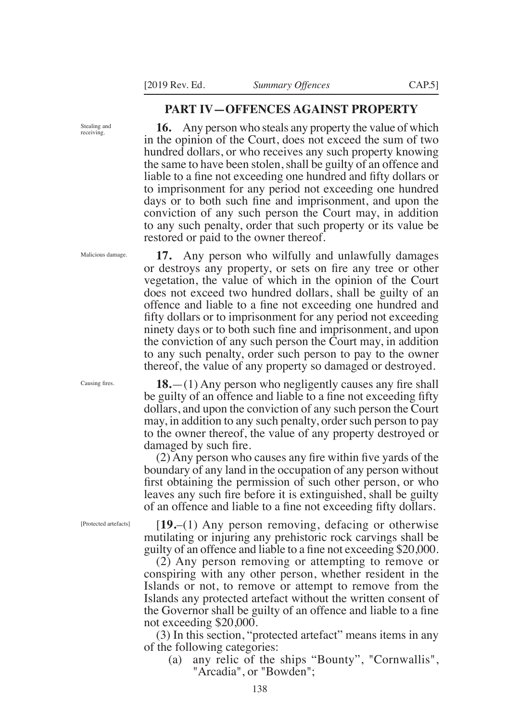## **PART IV—OFFENCES AGAINST PROPERTY**

**16.** Any person who steals any property the value of which in the opinion of the Court, does not exceed the sum of two hundred dollars, or who receives any such property knowing the same to have been stolen, shall be guilty of an offence and liable to a fne not exceeding one hundred and ffty dollars or to imprisonment for any period not exceeding one hundred days or to both such fne and imprisonment, and upon the conviction of any such person the Court may, in addition to any such penalty, order that such property or its value be restored or paid to the owner thereof.

**17.** Any person who wilfully and unlawfully damages or destroys any property, or sets on fre any tree or other vegetation, the value of which in the opinion of the Court does not exceed two hundred dollars, shall be guilty of an offence and liable to a fne not exceeding one hundred and ffty dollars or to imprisonment for any period not exceeding ninety days or to both such fne and imprisonment, and upon the conviction of any such person the Court may, in addition to any such penalty, order such person to pay to the owner thereof, the value of any property so damaged or destroyed.

**18.**—(1) Any person who negligently causes any fre shall be guilty of an offence and liable to a fne not exceeding ffty dollars, and upon the conviction of any such person the Court may, in addition to any such penalty, order such person to pay to the owner thereof, the value of any property destroyed or damaged by such fre.

(2) Any person who causes any fre within fve yards of the boundary of any land in the occupation of any person without frst obtaining the permission of such other person, or who leaves any such fre before it is extinguished, shall be guilty of an offence and liable to a fne not exceeding ffty dollars.

[Protected artefacts]

[**19.**–(1) Any person removing, defacing or otherwise mutilating or injuring any prehistoric rock carvings shall be guilty of an offence and liable to a fne not exceeding 20,000.

(2) Any person removing or attempting to remove or conspiring with any other person, whether resident in the Islands or not, to remove or attempt to remove from the Islands any protected artefact without the written consent of the Governor shall be guilty of an offence and liable to a fne not exceeding \$20,000.

(3) In this section, "protected artefact" means items in any of the following categories:

(a) any relic of the ships "Bounty", "Cornwallis", "Arcadia", or "Bowden";

Malicious damage.

Stealing and receiving.

Causing fres.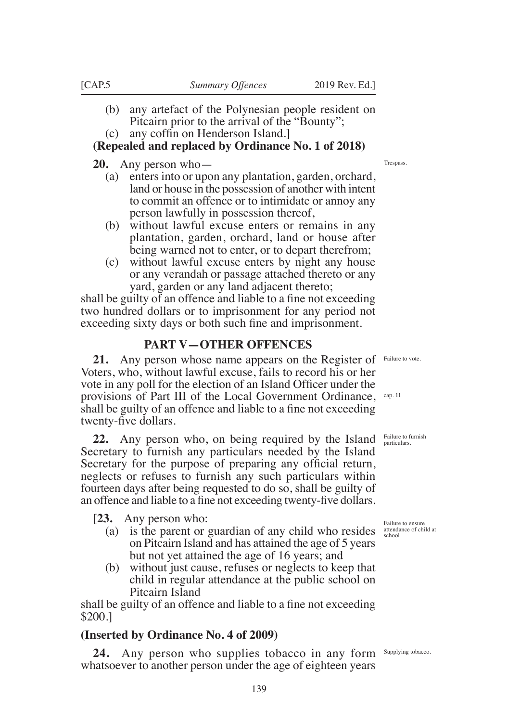- (b) any artefact of the Polynesian people resident on Pitcairn prior to the arrival of the "Bounty";
- $(c)$  any coffin on Henderson Island.

# **(Repealed and replaced by Ordinance No. 1 of 2018)**

**20.** Any person who—

- (a) enters into or upon any plantation, garden, orchard, land or house in the possession of another with intent to commit an offence or to intimidate or annoy any person lawfully in possession thereof,
- (b) without lawful excuse enters or remains in any plantation, garden, orchard, land or house after being warned not to enter, or to depart therefrom;
- (c) without lawful excuse enters by night any house or any verandah or passage attached thereto or any yard, garden or any land adjacent thereto;

shall be guilty of an offence and liable to a fne not exceeding two hundred dollars or to imprisonment for any period not exceeding sixty days or both such fne and imprisonment.

# **PART V—OTHER OFFENCES**

21. Any person whose name appears on the Register of Failure to vote. Voters, who, without lawful excuse, fails to record his or her vote in any poll for the election of an Island Officer under the provisions of Part III of the Local Government Ordinance, cap.11 shall be guilty of an offence and liable to a fne not exceeding twenty-fve dollars.

**22.** Any person who, on being required by the Island Failure to furnish Secretary to furnish any particulars needed by the Island Secretary for the purpose of preparing any official return, neglects or refuses to furnish any such particulars within fourteen days after being requested to do so, shall be guilty of an offence and liable to a fne not exceeding twenty-fve dollars.

**[23.** Any person who:

- (a) is the parent or guardian of any child who resides on Pitcairn Island and has attained the age of 5 years but not yet attained the age of 16 years; and
- (b) without just cause, refuses or neglects to keep that child in regular attendance at the public school on Pitcairn Island

shall be guilty of an offence and liable to a fne not exceeding \$200.]

# **(Inserted by Ordinance No. 4 of 2009)**

24. Any person who supplies tobacco in any form Supplying tobacco. whatsoever to another person under the age of eighteen years

**Trespass** 

Failure to ensure attendance of child at school